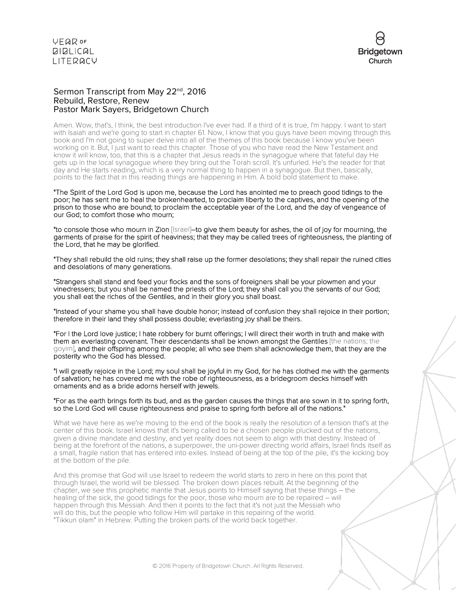

#### Sermon Transcript from May 22<sup>nd</sup>, 2016 Rebuild, Restore, Renew Pastor Mark Sayers, Bridgetown Church

Amen. Wow, that's, I think, the best introduction I've ever had. If a third of it is true, I'm happy. I want to start with Isaiah and we're going to start in chapter 61. Now, I know that you guys have been moving through this book and I'm not going to super delve into all of the themes of this book because I know you've been working on it. But, I just want to read this chapter. Those of you who have read the New Testament and know it will know, too, that this is a chapter that Jesus reads in the synagogue where that fateful day He gets up in the local synagogue where they bring out the Torah scroll. It's unfurled. He's the reader for that day and He starts reading, which is a very normal thing to happen in a synagogue. But then, basically, points to the fact that in this reading things are happening in Him. A bold bold statement to make.

"The Spirit of the Lord God is upon me, because the Lord has anointed me to preach good tidings to the poor; he has sent me to heal the brokenhearted, to proclaim liberty to the captives, and the opening of the prison to those who are bound; to proclaim the acceptable year of the Lord, and the day of vengeance of our God; to comfort those who mourn;

"to console those who mourn in Zion [Israel]–to give them beauty for ashes, the oil of joy for mourning, the garments of praise for the spirit of heaviness; that they may be called trees of righteousness, the planting of the Lord, that he may be glorified.

"They shall rebuild the old ruins; they shall raise up the former desolations; they shall repair the ruined cities and desolations of many generations.

"Strangers shall stand and feed your flocks and the sons of foreigners shall be your plowmen and your vinedressers; but you shall be named the priests of the Lord; they shall call you the servants of our God; you shall eat the riches of the Gentiles, and in their glory you shall boast.

"Instead of your shame you shall have double honor; instead of confusion they shall rejoice in their portion; therefore in their land they shall possess double; everlasting joy shall be theirs.

"For I the Lord love justice; I hate robbery for burnt offerings; I will direct their worth in truth and make with them an everlasting covenant. Their descendants shall be known amongst the Gentiles [the nations; the goyim], and their offspring among the people; all who see them shall acknowledge them, that they are the posterity who the God has blessed.

"I will greatly rejoice in the Lord; my soul shall be joyful in my God, for he has clothed me with the garments of salvation; he has covered me with the robe of righteousness, as a bridegroom decks himself with ornaments and as a bride adorns herself with jewels.

#### "For as the earth brings forth its bud, and as the garden causes the things that are sown in it to spring forth, so the Lord God will cause righteousness and praise to spring forth before all of the nations."

What we have here as we're moving to the end of the book is really the resolution of a tension that's at the center of this book. Israel knows that it's being called to be a chosen people plucked out of the nations, given a divine mandate and destiny, and yet reality does not seem to align with that destiny. Instead of being at the forefront of the nations, a superpower, the uni-power directing world affairs, Israel finds itself as a small, fragile nation that has entered into exiles. Instead of being at the top of the pile, it's the kicking boy at the bottom of the pile.

And this promise that God will use Israel to redeem the world starts to zero in here on this point that through Israel, the world will be blessed. The broken down places rebuilt. At the beginning of the chapter, we see this prophetic mantle that Jesus points to Himself saying that these things – the healing of the sick, the good tidings for the poor, those who mourn are to be repaired – will happen through this Messiah. And then it points to the fact that it's not just the Messiah who will do this, but the people who follow Him will partake in this repairing of the world. "Tikkun olam" in Hebrew. Putting the broken parts of the world back together.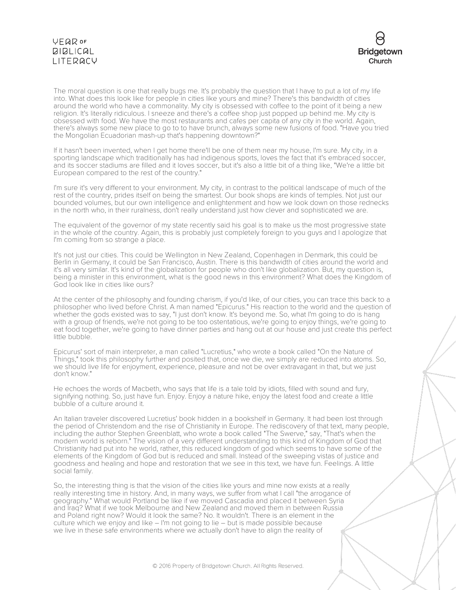# VEQROF **BIBLICAL** LITERACY



The moral question is one that really bugs me. It's probably the question that I have to put a lot of my life into. What does this look like for people in cities like yours and mine? There's this bandwidth of cities around the world who have a commonality. My city is obsessed with coffee to the point of it being a new religion. It's literally ridiculous. I sneeze and there's a coffee shop just popped up behind me. My city is obsessed with food. We have the most restaurants and cafes per capita of any city in the world. Again, there's always some new place to go to to have brunch, always some new fusions of food. "Have you tried the Mongolian Ecuadorian mash-up that's happening downtown?"

If it hasn't been invented, when I get home there'll be one of them near my house, I'm sure. My city, in a sporting landscape which traditionally has had indigenous sports, loves the fact that it's embraced soccer, and its soccer stadiums are filled and it loves soccer, but it's also a little bit of a thing like, "We're a little bit European compared to the rest of the country."

I'm sure it's very different to your environment. My city, in contrast to the political landscape of much of the rest of the country, prides itself on being the smartest. Our book shops are kinds of temples. Not just our bounded volumes, but our own intelligence and enlightenment and how we look down on those rednecks in the north who, in their ruralness, don't really understand just how clever and sophisticated we are.

The equivalent of the governor of my state recently said his goal is to make us the most progressive state in the whole of the country. Again, this is probably just completely foreign to you guys and I apologize that I'm coming from so strange a place.

It's not just our cities. This could be Wellington in New Zealand, Copenhagen in Denmark, this could be Berlin in Germany, it could be San Francisco, Austin. There is this bandwidth of cities around the world and it's all very similar. It's kind of the globalization for people who don't like globalization. But, my question is, being a minister in this environment, what is the good news in this environment? What does the Kingdom of God look like in cities like ours?

At the center of the philosophy and founding charism, if you'd like, of our cities, you can trace this back to a philosopher who lived before Christ. A man named "Epicurus." His reaction to the world and the question of whether the gods existed was to say, "I just don't know. It's beyond me. So, what I'm going to do is hang with a group of friends, we're not going to be too ostentatious, we're going to enjoy things, we're going to eat food together, we're going to have dinner parties and hang out at our house and just create this perfect little bubble.

Epicurus' sort of main interpreter, a man called "Lucretius," who wrote a book called "On the Nature of Things," took this philosophy further and posited that, once we die, we simply are reduced into atoms. So, we should live life for enjoyment, experience, pleasure and not be over extravagant in that, but we just don't know."

He echoes the words of Macbeth, who says that life is a tale told by idiots, filled with sound and fury, signifying nothing. So, just have fun. Enjoy. Enjoy a nature hike, enjoy the latest food and create a little bubble of a culture around it.

An Italian traveler discovered Lucretius' book hidden in a bookshelf in Germany. It had been lost through the period of Christendom and the rise of Christianity in Europe. The rediscovery of that text, many people, including the author Stephen Greenblatt, who wrote a book called "The Swerve," say, "That's when the modern world is reborn." The vision of a very different understanding to this kind of Kingdom of God that Christianity had put into he world, rather, this reduced kingdom of god which seems to have some of the elements of the Kingdom of God but is reduced and small. Instead of the sweeping vistas of justice and goodness and healing and hope and restoration that we see in this text, we have fun. Feelings. A little social family.

So, the interesting thing is that the vision of the cities like yours and mine now exists at a really really interesting time in history. And, in many ways, we suffer from what I call "the arrogance of geography." What would Portland be like if we moved Cascadia and placed it between Syria and Iraq? What if we took Melbourne and New Zealand and moved them in between Russia and Poland right now? Would it look the same? No. It wouldn't. There is an element in the culture which we enjoy and like – I'm not going to lie – but is made possible because we live in these safe environments where we actually don't have to align the reality of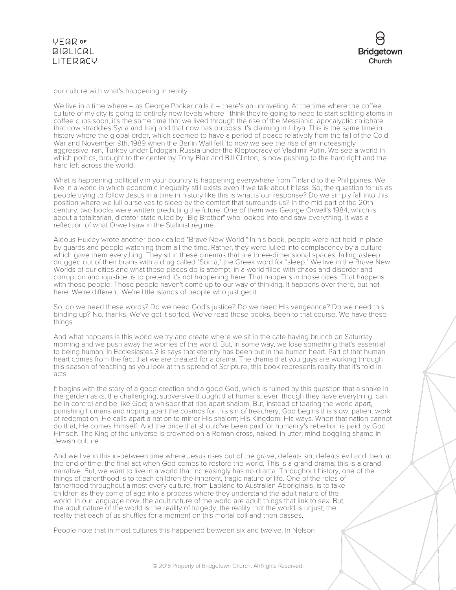



our culture with what's happening in reality.

We live in a time where – as George Packer calls it – there's an unraveling. At the time where the coffee culture of my city is going to entirely new levels where I think they're going to need to start splitting atoms in coffee cups soon, it's the same time that we lived through the rise of the Messianic, apocalyptic caliphate that now straddles Syria and Iraq and that now has outposts it's claiming in Libya. This is the same time in history where the global order, which seemed to have a period of peace relatively from the fall of the Cold War and November 9th, 1989 when the Berlin Wall fell, to now we see the rise of an increasingly aggressive Iran, Turkey under Erdogan, Russia under the Kleptocracy of Vladimir Putin. We see a world in which politics, brought to the center by Tony Blair and Bill Clinton, is now pushing to the hard right and the hard left across the world.

What is happening politically in your country is happening everywhere from Finland to the Philippines. We live in a world in which economic inequality still exists even if we talk about it less. So, the question for us as people trying to follow Jesus in a time in history like this is what is our response? Do we simply fall into this position where we lull ourselves to sleep by the comfort that surrounds us? In the mid part of the 20th century, two books were written predicting the future. One of them was George Orwell's 1984, which is about a totalitarian, dictator state ruled by "Big Brother" who looked into and saw everything. It was a reflection of what Orwell saw in the Stalinist regime.

Aldous Huxley wrote another book called "Brave New World." In his book, people were not held in place by guards and people watching them all the time. Rather, they were lulled into complacency by a culture which gave them everything. They sit in these cinemas that are three-dimensional spaces, falling asleep, drugged out of their brains with a drug called "Soma," the Greek word for "sleep." We live in the Brave New Worlds of our cities and what these places do is attempt, in a world filled with chaos and disorder and corruption and injustice, is to pretend it's not happening here. That happens in those cities. That happens with those people. Those people haven't come up to our way of thinking. It happens over there, but not here. We're different. We're little islands of people who just get it.

So, do we need these words? Do we need God's justice? Do we need His vengeance? Do we need this binding up? No, thanks. We've got it sorted. We've read those books, been to that course. We have these things.

And what happens is this world we try and create where we sit in the cafe having brunch on Saturday morning and we push away the worries of the world. But, in some way, we lose something that's essential to being human. In Ecclesiastes 3 is says that eternity has been put in the human heart. Part of that human heart comes from the fact that we are created for a drama. The drama that you guys are working through this season of teaching as you look at this spread of Scripture, this book represents reality that it's told in acts.

It begins with the story of a good creation and a good God, which is ruined by this question that a snake in the garden asks; the challenging, subversive thought that humans, even though they have everything, can be in control and be like God; a whisper that rips apart shalom. But, instead of tearing the world apart, punishing humans and ripping apart the cosmos for this sin of treachery, God begins this slow, patient work of redemption. He calls apart a nation to mirror His shalom; His Kingdom; His ways. When that nation cannot do that, He comes Himself. And the price that should've been paid for humanity's rebellion is paid by God Himself. The King of the universe is crowned on a Roman cross, naked, in utter, mind-boggling shame in Jewish culture.

And we live in this in-between time where Jesus rises out of the grave, defeats sin, defeats evil and then, at the end of time, the final act when God comes to restore the world. This is a grand drama; this is a grand narrative. But, we want to live in a world that increasingly has no drama. Throughout history, one of the things of parenthood is to teach children the inherent, tragic nature of life. One of the roles of fatherhood throughout almost every culture, from Lapland to Australian Aboriginals, is to take children as they come of age into a process where they understand the adult nature of the world. In our language now, the adult nature of the world are adult things that link to sex. But, the adult nature of the world is the reality of tragedy; the reality that the world is unjust; the reality that each of us shuffles for a moment on this mortal coil and then passes.

People note that in most cultures this happened between six and twelve. In Nelson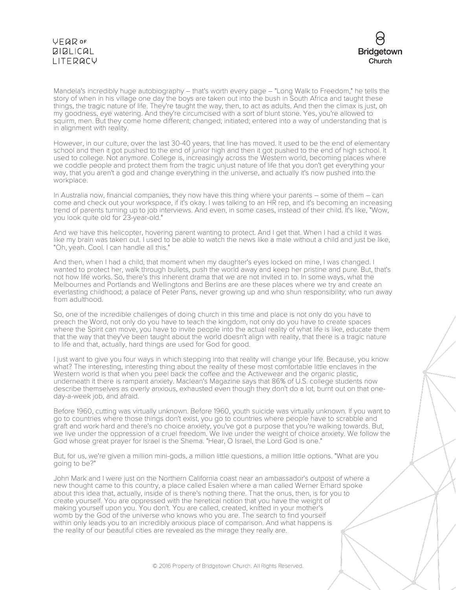# VEQROF **BIBLICAL** LITERACY



Mandela's incredibly huge autobiography – that's worth every page – "Long Walk to Freedom," he tells the story of when in his village one day the boys are taken out into the bush in South Africa and taught these things, the tragic nature of life. They're taught the way, then, to act as adults. And then the climax is just, oh my goodness, eye watering. And they're circumcised with a sort of blunt stone. Yes, you're allowed to squirm, men. But they come home different; changed; initiated; entered into a way of understanding that is in alignment with reality.

However, in our culture, over the last 30-40 years, that line has moved. It used to be the end of elementary school and then it got pushed to the end of junior high and then it got pushed to the end of high school. It used to college. Not anymore. College is, increasingly across the Western world, becoming places where we coddle people and protect them from the tragic unjust nature of life that you don't get everything your way, that you aren't a god and change everything in the universe, and actually it's now pushed into the workplace.

In Australia now, financial companies, they now have this thing where your parents – some of them – can come and check out your workspace, if it's okay. I was talking to an HR rep, and it's becoming an increasing trend of parents turning up to job interviews. And even, in some cases, instead of their child. It's like, "Wow, you look quite old for 23-year-old."

And we have this helicopter, hovering parent wanting to protect. And I get that. When I had a child it was like my brain was taken out. I used to be able to watch the news like a male without a child and just be like, "Oh, yeah. Cool. I can handle all this."

And then, when I had a child, that moment when my daughter's eyes locked on mine, I was changed. I wanted to protect her, walk through bullets, push the world away and keep her pristine and pure. But, that's not how life works. So, there's this inherent drama that we are not invited in to. In some ways, what the Melbournes and Portlands and Wellingtons and Berlins are are these places where we try and create an everlasting childhood; a palace of Peter Pans, never growing up and who shun responsibility; who run away from adulthood.

So, one of the incredible challenges of doing church in this time and place is not only do you have to preach the Word, not only do you have to teach the kingdom, not only do you have to create spaces where the Spirit can move, you have to invite people into the actual reality of what life is like, educate them that the way that they've been taught about the world doesn't align with reality, that there is a tragic nature to life and that, actually, hard things are used for God for good.

I just want to give you four ways in which stepping into that reality will change your life. Because, you know what? The interesting, interesting thing about the reality of these most comfortable little enclaves in the Western world is that when you peel back the coffee and the Activewear and the organic plastic, underneath it there is rampant anxiety. Maclean's Magazine says that 86% of U.S. college students now describe themselves as overly anxious, exhausted even though they don't do a lot, burnt out on that oneday-a-week job, and afraid.

Before 1960, cutting was virtually unknown. Before 1960, youth suicide was virtually unknown. If you want to go to countries where those things don't exist, you go to countries where people have to scrabble and graft and work hard and there's no choice anxiety, you've got a purpose that you're walking towards. But, we live under the oppression of a cruel freedom. We live under the weight of choice anxiety. We follow the God whose great prayer for Israel is the Shema. "Hear, O Israel, the Lord God is one."

But, for us, we're given a million mini-gods, a million little questions, a million little options. "What are you going to be?"

John Mark and I were just on the Northern California coast near an ambassador's outpost of where a new thought came to this country, a place called Esalen where a man called Werner Erhard spoke about this idea that, actually, inside of is there's nothing there. That the onus, then, is for you to create yourself. You are oppressed with the heretical notion that you have the weight of making yourself upon you. You don't. You are called, created, knitted in your mother's womb by the God of the universe who knows who you are. The search to find yourself within only leads you to an incredibly anxious place of comparison. And what happens is the reality of our beautiful cities are revealed as the mirage they really are.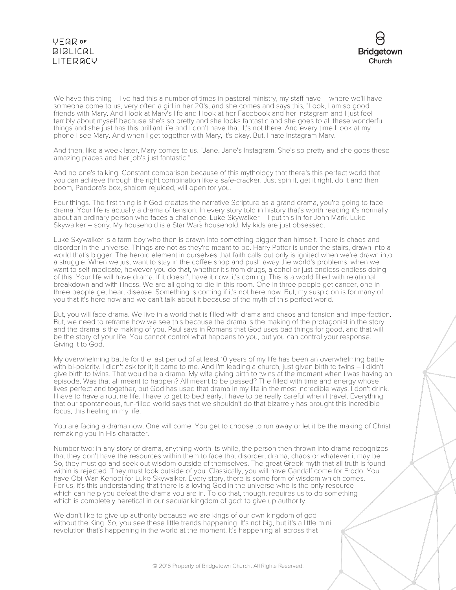# **VEQR OF**  $BIBLICAL$ LITERACY



We have this thing – I've had this a number of times in pastoral ministry, my staff have – where we'll have someone come to us, very often a girl in her 20's, and she comes and says this, "Look, I am so good friends with Mary. And I look at Mary's life and I look at her Facebook and her Instagram and I just feel terribly about myself because she's so pretty and she looks fantastic and she goes to all these wonderful things and she just has this brilliant life and I don't have that. It's not there. And every time I look at my phone I see Mary. And when I get together with Mary, it's okay. But, I hate Instagram Mary.

And then, like a week later, Mary comes to us. "Jane. Jane's Instagram. She's so pretty and she goes these amazing places and her job's just fantastic."

And no one's talking. Constant comparison because of this mythology that there's this perfect world that you can achieve through the right combination like a safe-cracker. Just spin it, get it right, do it and then boom, Pandora's box, shalom rejuiced, will open for you.

Four things. The first thing is if God creates the narrative Scripture as a grand drama, you're going to face drama. Your life is actually a drama of tension. In every story told in history that's worth reading it's normally about an ordinary person who faces a challenge. Luke Skywalker – I put this in for John Mark. Luke Skywalker – sorry. My household is a Star Wars household. My kids are just obsessed.

Luke Skywalker is a farm boy who then is drawn into something bigger than himself. There is chaos and disorder in the universe. Things are not as they're meant to be. Harry Potter is under the stairs, drawn into a world that's bigger. The heroic element in ourselves that faith calls out only is ignited when we're drawn into a struggle. When we just want to stay in the coffee shop and push away the world's problems, when we want to self-medicate, however you do that, whether it's from drugs, alcohol or just endless endless doing of this. Your life will have drama. If it doesn't have it now, it's coming. This is a world filled with relational breakdown and with illness. We are all going to die in this room. One in three people get cancer, one in three people get heart disease. Something is coming if it's not here now. But, my suspicion is for many of you that it's here now and we can't talk about it because of the myth of this perfect world.

But, you will face drama. We live in a world that is filled with drama and chaos and tension and imperfection. But, we need to reframe how we see this because the drama is the making of the protagonist in the story and the drama is the making of you. Paul says in Romans that God uses bad things for good, and that will be the story of your life. You cannot control what happens to you, but you can control your response. Giving it to God.

My overwhelming battle for the last period of at least 10 years of my life has been an overwhelming battle with bi-polarity. I didn't ask for it; it came to me. And I'm leading a church, just given birth to twins – I didn't give birth to twins. That would be a drama. My wife giving birth to twins at the moment when I was having an episode. Was that all meant to happen? All meant to be passed? The filled with time and energy whose lives perfect and together, but God has used that drama in my life in the most incredible ways. I don't drink. I have to have a routine life. I have to get to bed early. I have to be really careful when I travel. Everything that our spontaneous, fun-filled world says that we shouldn't do that bizarrely has brought this incredible focus, this healing in my life.

You are facing a drama now. One will come. You get to choose to run away or let it be the making of Christ remaking you in His character.

Number two: in any story of drama, anything worth its while, the person then thrown into drama recognizes that they don't have the resources within them to face that disorder, drama, chaos or whatever it may be. So, they must go and seek out wisdom outside of themselves. The great Greek myth that all truth is found within is rejected. They must look outside of you. Classically, you will have Gandalf come for Frodo. You have Obi-Wan Kenobi for Luke Skywalker. Every story, there is some form of wisdom which comes. For us, it's this understanding that there is a loving God in the universe who is the only resource which can help you defeat the drama you are in. To do that, though, requires us to do something which is completely heretical in our secular kingdom of god: to give up authority.

We don't like to give up authority because we are kings of our own kingdom of god without the King. So, you see these little trends happening. It's not big, but it's a little mini revolution that's happening in the world at the moment. It's happening all across that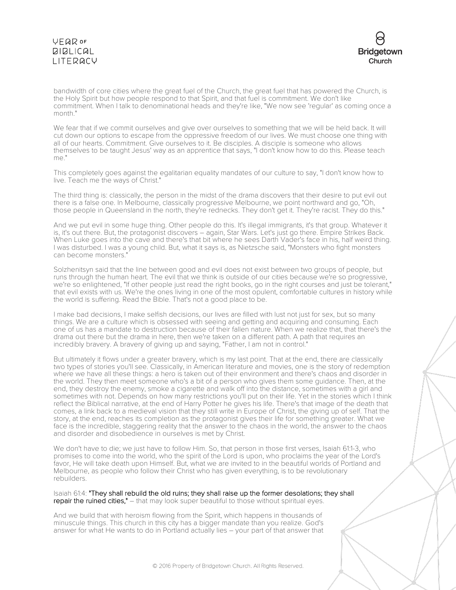

bandwidth of core cities where the great fuel of the Church, the great fuel that has powered the Church, is the Holy Spirit but how people respond to that Spirit, and that fuel is commitment. We don't like commitment. When I talk to denominational heads and they're like, "We now see 'regular' as coming once a month."

We fear that if we commit ourselves and give over ourselves to something that we will be held back. It will cut down our options to escape from the oppressive freedom of our lives. We must choose one thing with all of our hearts. Commitment. Give ourselves to it. Be disciples. A disciple is someone who allows themselves to be taught Jesus' way as an apprentice that says, "I don't know how to do this. Please teach me."

This completely goes against the egalitarian equality mandates of our culture to say, "I don't know how to live. Teach me the ways of Christ."

The third thing is: classically, the person in the midst of the drama discovers that their desire to put evil out there is a false one. In Melbourne, classically progressive Melbourne, we point northward and go, "Oh, those people in Queensland in the north, they're rednecks. They don't get it. They're racist. They do this."

And we put evil in some huge thing. Other people do this. It's illegal immigrants, it's that group. Whatever it is, it's out there. But, the protagonist discovers – again, Star Wars. Let's just go there. Empire Strikes Back. When Luke goes into the cave and there's that bit where he sees Darth Vader's face in his, half weird thing. I was disturbed. I was a young child. But, what it says is, as Nietzsche said, "Monsters who fight monsters can become monsters."

Solzhenitsyn said that the line between good and evil does not exist between two groups of people, but runs through the human heart. The evil that we think is outside of our cities because we're so progressive, we're so enlightened, "If other people just read the right books, go in the right courses and just be tolerant," that evil exists with us. We're the ones living in one of the most opulent, comfortable cultures in history while the world is suffering. Read the Bible. That's not a good place to be.

I make bad decisions, I make selfish decisions, our lives are filled with lust not just for sex, but so many things. We are a culture which is obsessed with seeing and getting and acquiring and consuming. Each one of us has a mandate to destruction because of their fallen nature. When we realize that, that there's the drama out there but the drama in here, then we're taken on a different path. A path that requires an incredibly bravery. A bravery of giving up and saying, "Father, I am not in control."

But ultimately it flows under a greater bravery, which is my last point. That at the end, there are classically two types of stories you'll see. Classically, in American literature and movies, one is the story of redemption where we have all these things: a hero is taken out of their environment and there's chaos and disorder in the world. They then meet someone who's a bit of a person who gives them some guidance. Then, at the end, they destroy the enemy, smoke a cigarette and walk off into the distance, sometimes with a girl and sometimes with not. Depends on how many restrictions you'll put on their life. Yet in the stories which I think reflect the Biblical narrative, at the end of Harry Potter he gives his life. There's that image of the death that comes, a link back to a medieval vision that they still write in Europe of Christ, the giving up of self. That the story, at the end, reaches its completion as the protagonist gives their life for something greater. What we face is the incredible, staggering reality that the answer to the chaos in the world, the answer to the chaos and disorder and disobedience in ourselves is met by Christ.

We don't have to die; we just have to follow Him. So, that person in those first verses, Isaiah 61:1-3, who promises to come into the world, who the spirit of the Lord is upon, who proclaims the year of the Lord's favor, He will take death upon Himself. But, what we are invited to in the beautiful worlds of Portland and Melbourne, as people who follow their Christ who has given everything, is to be revolutionary rebuilders.

Isaiah 61:4: "They shall rebuild the old ruins; they shall raise up the former desolations; they shall repair the ruined cities," – that may look super beautiful to those without spiritual eyes.

And we build that with heroism flowing from the Spirit, which happens in thousands of minuscule things. This church in this city has a bigger mandate than you realize. God's answer for what He wants to do in Portland actually lies – your part of that answer that